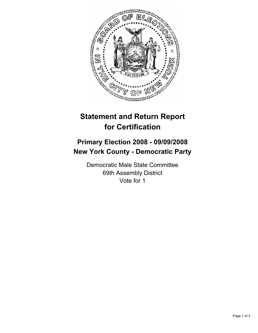

## **Statement and Return Report for Certification**

## **Primary Election 2008 - 09/09/2008 New York County - Democratic Party**

Democratic Male State Committee 69th Assembly District Vote for 1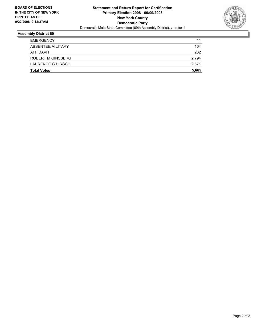

## **Assembly District 69**

| <b>Total Votes</b> | 5,665 |
|--------------------|-------|
| LAURENCE G HIRSCH  | 2,871 |
| ROBERT M GINSBERG  | 2,794 |
| AFFIDAVIT          | 282   |
| ABSENTEE/MILITARY  | 164   |
| <b>EMERGENCY</b>   | 11    |